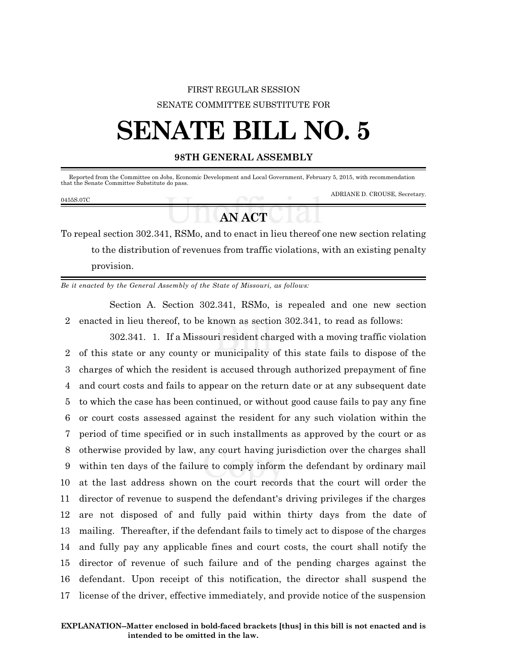## FIRST REGULAR SESSION SENATE COMMITTEE SUBSTITUTE FOR

# **SENATE BILL NO. 5**

### **98TH GENERAL ASSEMBLY**

Reported from the Committee on Jobs, Economic Development and Local Government, February 5, 2015, with recommendation that the Senate Committee Substitute do pass.

#### 0455S.07C

ADRIANE D. CROUSE, Secretary.

## **AN ACT**

To repeal section 302.341, RSMo, and to enact in lieu thereof one new section relating to the distribution of revenues from traffic violations, with an existing penalty provision.

*Be it enacted by the General Assembly of the State of Missouri, as follows:*

Section A. Section 302.341, RSMo, is repealed and one new section 2 enacted in lieu thereof, to be known as section 302.341, to read as follows:

302.341. 1. If a Missouri resident charged with a moving traffic violation of this state or any county or municipality of this state fails to dispose of the charges of which the resident is accused through authorized prepayment of fine and court costs and fails to appear on the return date or at any subsequent date to which the case has been continued, or without good cause fails to pay any fine or court costs assessed against the resident for any such violation within the period of time specified or in such installments as approved by the court or as otherwise provided by law, any court having jurisdiction over the charges shall within ten days of the failure to comply inform the defendant by ordinary mail at the last address shown on the court records that the court will order the director of revenue to suspend the defendant's driving privileges if the charges are not disposed of and fully paid within thirty days from the date of mailing. Thereafter, if the defendant fails to timely act to dispose of the charges and fully pay any applicable fines and court costs, the court shall notify the director of revenue of such failure and of the pending charges against the defendant. Upon receipt of this notification, the director shall suspend the license of the driver, effective immediately, and provide notice of the suspension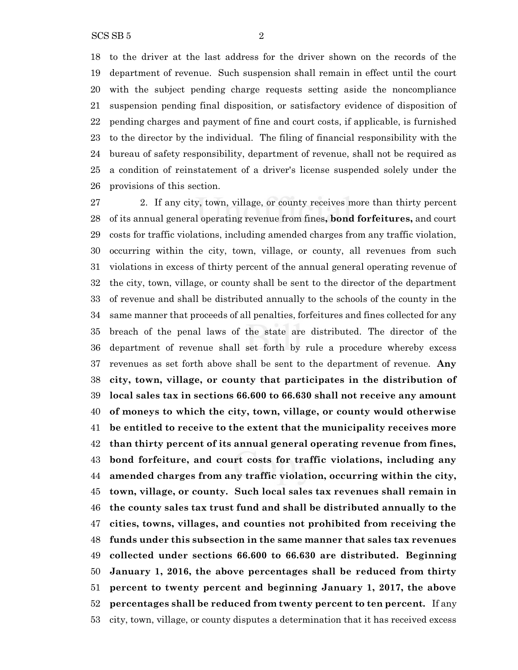to the driver at the last address for the driver shown on the records of the department of revenue. Such suspension shall remain in effect until the court with the subject pending charge requests setting aside the noncompliance suspension pending final disposition, or satisfactory evidence of disposition of pending charges and payment of fine and court costs, if applicable, is furnished to the director by the individual. The filing of financial responsibility with the bureau of safety responsibility, department of revenue, shall not be required as a condition of reinstatement of a driver's license suspended solely under the provisions of this section.

 2. If any city, town, village, or county receives more than thirty percent of its annual general operating revenue from fines**, bond forfeitures,** and court costs for traffic violations, including amended charges from any traffic violation, occurring within the city, town, village, or county, all revenues from such violations in excess of thirty percent of the annual general operating revenue of the city, town, village, or county shall be sent to the director of the department of revenue and shall be distributed annually to the schools of the county in the same manner that proceeds of all penalties, forfeitures and fines collected for any breach of the penal laws of the state are distributed. The director of the department of revenue shall set forth by rule a procedure whereby excess revenues as set forth above shall be sent to the department of revenue. **Any city, town, village, or county that participates in the distribution of local sales tax in sections 66.600 to 66.630 shall not receive any amount of moneys to which the city, town, village, or county would otherwise be entitled to receive to the extent that the municipality receives more than thirty percent of its annual general operating revenue from fines, bond forfeiture, and court costs for traffic violations, including any amended charges from any traffic violation, occurring within the city, town, village, or county. Such local sales tax revenues shall remain in the county sales tax trust fund and shall be distributed annually to the cities, towns, villages, and counties not prohibited from receiving the funds under this subsection in the same manner that sales tax revenues collected under sections 66.600 to 66.630 are distributed. Beginning January 1, 2016, the above percentages shall be reduced from thirty percent to twenty percent and beginning January 1, 2017, the above percentages shall be reduced from twenty percent to ten percent.** If any city, town, village, or county disputes a determination that it has received excess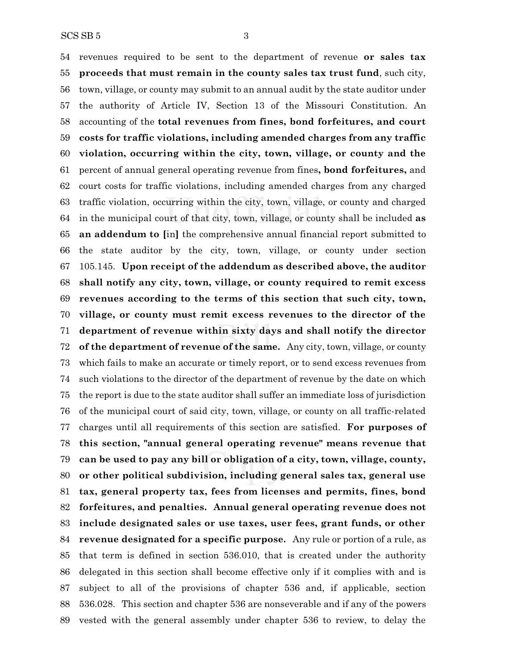revenues required to be sent to the department of revenue **or sales tax proceeds that must remain in the county sales tax trust fund**, such city, town, village, or county may submit to an annual audit by the state auditor under the authority of Article IV, Section 13 of the Missouri Constitution. An accounting of the **total revenues from fines, bond forfeitures, and court costs for traffic violations, including amended charges from any traffic violation, occurring within the city, town, village, or county and the** percent of annual general operating revenue from fines**, bond forfeitures,** and court costs for traffic violations, including amended charges from any charged traffic violation, occurring within the city, town, village, or county and charged in the municipal court of that city, town, village, or county shall be included **as an addendum to [**in**]** the comprehensive annual financial report submitted to the state auditor by the city, town, village, or county under section 105.145. **Upon receipt of the addendum as described above, the auditor shall notify any city, town, village, or county required to remit excess revenues according to the terms of this section that such city, town, village, or county must remit excess revenues to the director of the department of revenue within sixty days and shall notify the director of the department of revenue of the same.** Any city, town, village, or county which fails to make an accurate or timely report, or to send excess revenues from such violations to the director of the department of revenue by the date on which the report is due to the state auditor shall suffer an immediate loss of jurisdiction of the municipal court of said city, town, village, or county on all traffic-related charges until all requirements of this section are satisfied. **For purposes of this section, "annual general operating revenue" means revenue that can be used to pay any bill or obligation of a city, town, village, county, or other political subdivision, including general sales tax, general use tax, general property tax, fees from licenses and permits, fines, bond forfeitures, and penalties. Annual general operating revenue does not include designated sales or use taxes, user fees, grant funds, or other revenue designated for a specific purpose.** Any rule or portion of a rule, as that term is defined in section 536.010, that is created under the authority delegated in this section shall become effective only if it complies with and is subject to all of the provisions of chapter 536 and, if applicable, section 536.028. This section and chapter 536 are nonseverable and if any of the powers

vested with the general assembly under chapter 536 to review, to delay the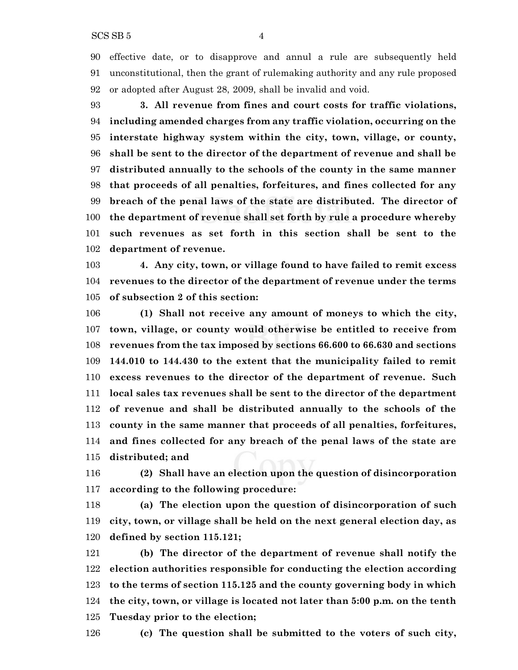effective date, or to disapprove and annul a rule are subsequently held unconstitutional, then the grant of rulemaking authority and any rule proposed or adopted after August 28, 2009, shall be invalid and void.

 **3. All revenue from fines and court costs for traffic violations, including amended charges from any traffic violation, occurring on the interstate highway system within the city, town, village, or county, shall be sent to the director of the department of revenue and shall be distributed annually to the schools of the county in the same manner that proceeds of all penalties, forfeitures, and fines collected for any breach of the penal laws of the state are distributed. The director of the department of revenue shall set forth by rule a procedure whereby such revenues as set forth in this section shall be sent to the department of revenue.**

 **4. Any city, town, or village found to have failed to remit excess revenues to the director of the department of revenue under the terms of subsection 2 of this section:**

 **(1) Shall not receive any amount of moneys to which the city, town, village, or county would otherwise be entitled to receive from revenues from the tax imposed by sections 66.600 to 66.630 and sections 144.010 to 144.430 to the extent that the municipality failed to remit excess revenues to the director of the department of revenue. Such local sales tax revenues shall be sent to the director of the department of revenue and shall be distributed annually to the schools of the county in the same manner that proceeds of all penalties, forfeitures, and fines collected for any breach of the penal laws of the state are distributed; and**

 **(2) Shall have an election upon the question of disincorporation according to the following procedure:**

 **(a) The election upon the question of disincorporation of such city, town, or village shall be held on the next general election day, as defined by section 115.121;**

 **(b) The director of the department of revenue shall notify the election authorities responsible for conducting the election according to the terms of section 115.125 and the county governing body in which the city, town, or village is located not later than 5:00 p.m. on the tenth Tuesday prior to the election;**

**(c) The question shall be submitted to the voters of such city,**